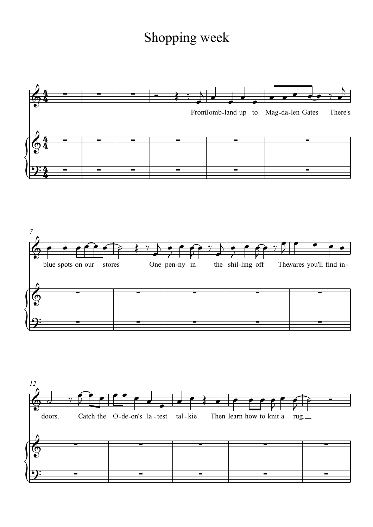## Shopping week

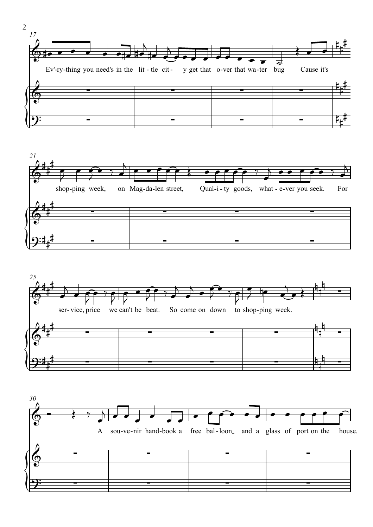



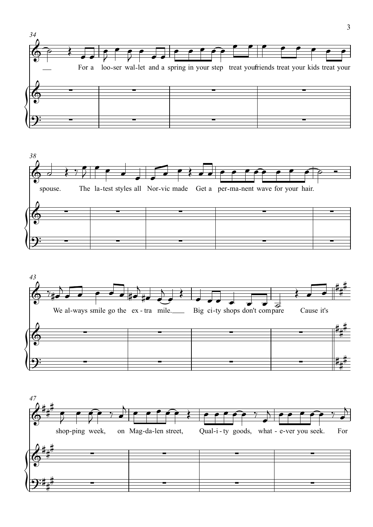





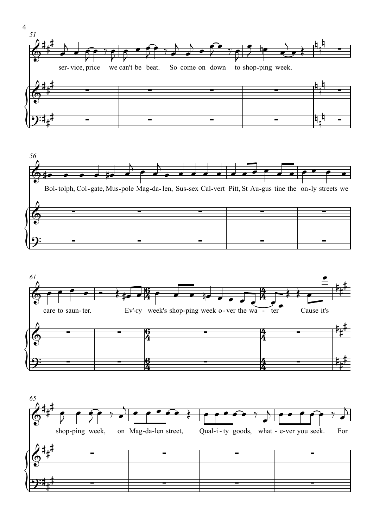







4